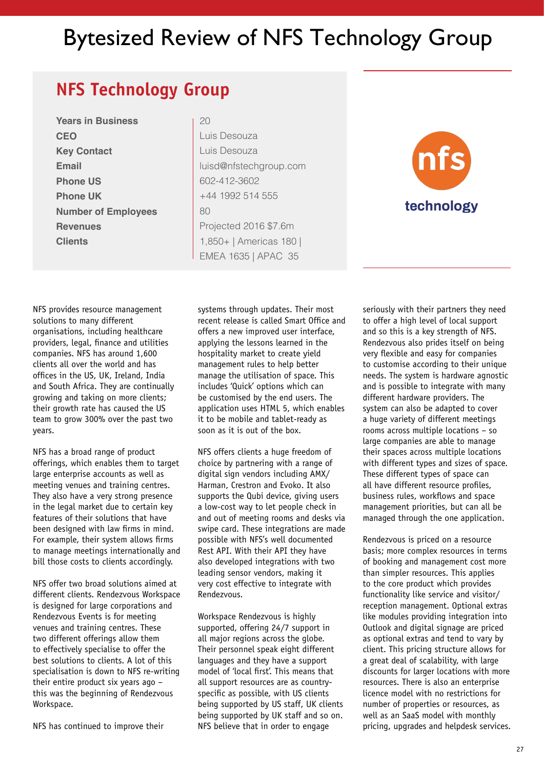## Bytesized Review of NFS Technology Group

## **NFS Technology Group**

**Years in Business CEO Key Contact Email Phone US Phone UK Number of Employees Revenues Clients** 

Luis Desouza Luis Desouza luisd@nfstechgroup.com 602-412-3602 +44 1992 514 555 80 Projected 2016 \$7.6m 1,850+ | Americas 180 | EMEA 1635 | APAC 35

 $20$ 



NFS provides resource management solutions to many different organisations, including healthcare providers, legal, finance and utilities companies. NFS has around 1,600 clients all over the world and has offices in the US, UK, Ireland, India and South Africa. They are continually growing and taking on more clients; their growth rate has caused the US team to grow 300% over the past two years.

NFS has a broad range of product offerings, which enables them to target large enterprise accounts as well as meeting venues and training centres. They also have a very strong presence in the legal market due to certain key features of their solutions that have been designed with law firms in mind. For example, their system allows firms to manage meetings internationally and bill those costs to clients accordingly.

NFS offer two broad solutions aimed at different clients. Rendezvous Workspace is designed for large corporations and Rendezvous Events is for meeting venues and training centres. These two different offerings allow them to effectively specialise to offer the best solutions to clients. A lot of this specialisation is down to NFS re-writing their entire product six years ago – this was the beginning of Rendezvous Workspace.

NFS has continued to improve their

systems through updates. Their most recent release is called Smart Office and offers a new improved user interface, applying the lessons learned in the hospitality market to create yield management rules to help better manage the utilisation of space. This includes 'Quick' options which can be customised by the end users. The application uses HTML 5, which enables it to be mobile and tablet-ready as soon as it is out of the box.

NFS offers clients a huge freedom of choice by partnering with a range of digital sign vendors including AMX/ Harman, Crestron and Evoko. It also supports the Qubi device, giving users a low-cost way to let people check in and out of meeting rooms and desks via swipe card. These integrations are made possible with NFS's well documented Rest API. With their API they have also developed integrations with two leading sensor vendors, making it very cost effective to integrate with Rendezvous.

Workspace Rendezvous is highly supported, offering 24/7 support in all major regions across the globe. Their personnel speak eight different languages and they have a support model of 'local first'. This means that all support resources are as countryspecific as possible, with US clients being supported by US staff, UK clients being supported by UK staff and so on. NFS believe that in order to engage

seriously with their partners they need to offer a high level of local support and so this is a key strength of NFS. Rendezvous also prides itself on being very flexible and easy for companies to customise according to their unique needs. The system is hardware agnostic and is possible to integrate with many different hardware providers. The system can also be adapted to cover a huge variety of different meetings rooms across multiple locations – so large companies are able to manage their spaces across multiple locations with different types and sizes of space. These different types of space can all have different resource profiles, business rules, workflows and space management priorities, but can all be managed through the one application.

Rendezvous is priced on a resource basis; more complex resources in terms of booking and management cost more than simpler resources. This applies to the core product which provides functionality like service and visitor/ reception management. Optional extras like modules providing integration into Outlook and digital signage are priced as optional extras and tend to vary by client. This pricing structure allows for a great deal of scalability, with large discounts for larger locations with more resources. There is also an enterprise licence model with no restrictions for number of properties or resources, as well as an SaaS model with monthly pricing, upgrades and helpdesk services.